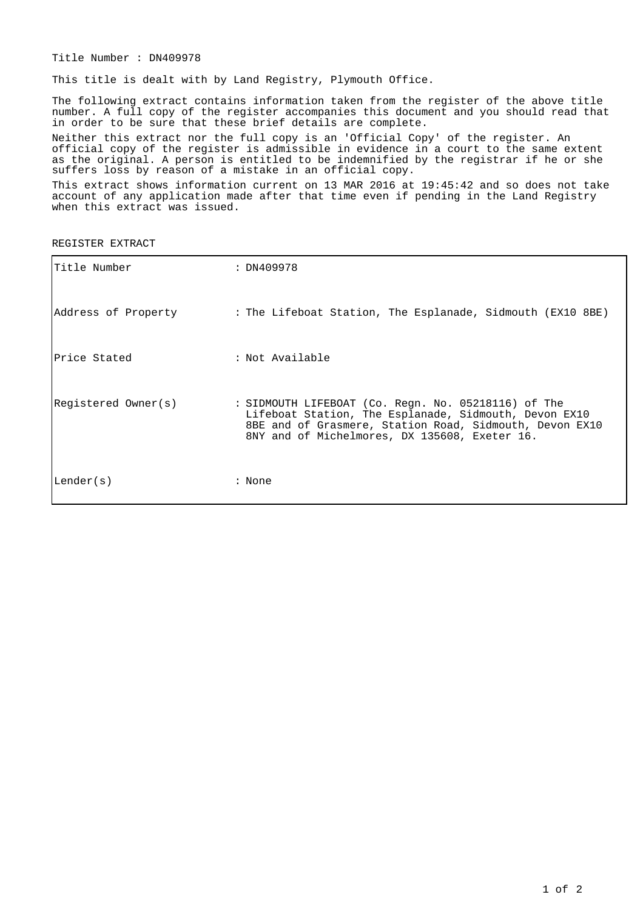Title Number : DN409978

This title is dealt with by Land Registry, Plymouth Office.

The following extract contains information taken from the register of the above title number. A full copy of the register accompanies this document and you should read that in order to be sure that these brief details are complete.

Neither this extract nor the full copy is an 'Official Copy' of the register. An official copy of the register is admissible in evidence in a court to the same extent as the original. A person is entitled to be indemnified by the registrar if he or she suffers loss by reason of a mistake in an official copy.

This extract shows information current on 13 MAR 2016 at 19:45:42 and so does not take account of any application made after that time even if pending in the Land Registry when this extract was issued.

REGISTER EXTRACT

| Title Number        | : DN409978                                                                                                                                                                                                               |
|---------------------|--------------------------------------------------------------------------------------------------------------------------------------------------------------------------------------------------------------------------|
| Address of Property | : The Lifeboat Station, The Esplanade, Sidmouth (EX10 8BE)                                                                                                                                                               |
| lPrice Stated       | : Not Available                                                                                                                                                                                                          |
| Registered Owner(s) | : SIDMOUTH LIFEBOAT (Co. Regn. No. 05218116) of The<br>Lifeboat Station, The Esplanade, Sidmouth, Devon EX10<br>8BE and of Grasmere, Station Road, Sidmouth, Devon EX10<br>8NY and of Michelmores, DX 135608, Exeter 16. |
| Lender(s)           | : None                                                                                                                                                                                                                   |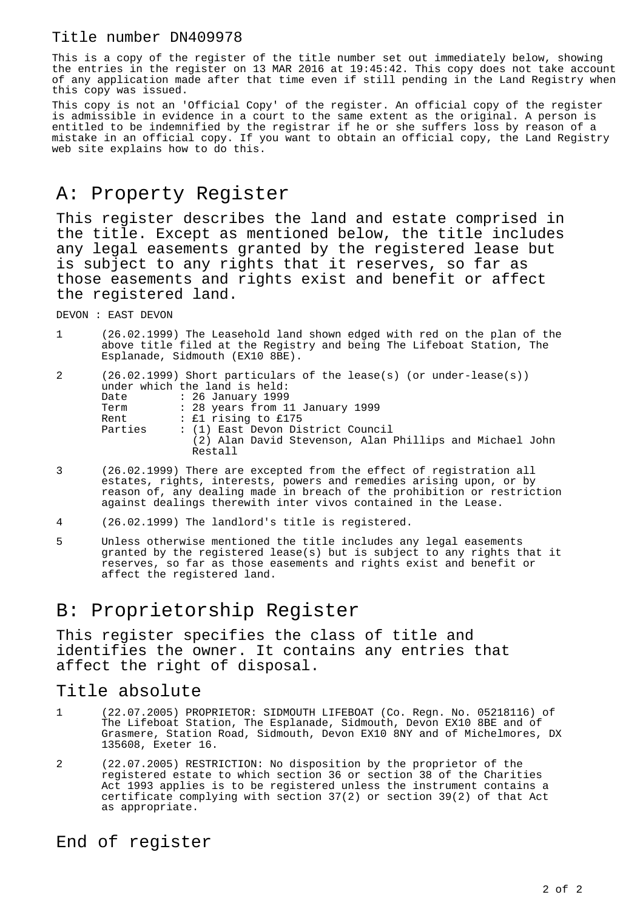## Title number DN409978

This is a copy of the register of the title number set out immediately below, showing the entries in the register on 13 MAR 2016 at 19:45:42. This copy does not take account of any application made after that time even if still pending in the Land Registry when this copy was issued.

This copy is not an 'Official Copy' of the register. An official copy of the register is admissible in evidence in a court to the same extent as the original. A person is entitled to be indemnified by the registrar if he or she suffers loss by reason of a mistake in an official copy. If you want to obtain an official copy, the Land Registry web site explains how to do this.

## A: Property Register

This register describes the land and estate comprised in the title. Except as mentioned below, the title includes any legal easements granted by the registered lease but is subject to any rights that it reserves, so far as those easements and rights exist and benefit or affect the registered land.

DEVON : EAST DEVON

1 (26.02.1999) The Leasehold land shown edged with red on the plan of the above title filed at the Registry and being The Lifeboat Station, The Esplanade, Sidmouth (EX10 8BE).

| 2 |         | $(26.02.1999)$ Short particulars of the lease(s) (or under-lease(s)) |
|---|---------|----------------------------------------------------------------------|
|   |         | under which the land is held:                                        |
|   | Date    | : 26 January 1999                                                    |
|   | Term    | : 28 years from 11 January 1999                                      |
|   | Rent    | : £1 rising to £175                                                  |
|   | Parties | : (1) East Devon District Council                                    |
|   |         | (2) Alan David Stevenson, Alan Phillips and Michael John             |
|   |         | Restall                                                              |

- 3 (26.02.1999) There are excepted from the effect of registration all estates, rights, interests, powers and remedies arising upon, or by reason of, any dealing made in breach of the prohibition or restriction against dealings therewith inter vivos contained in the Lease.
- 4 (26.02.1999) The landlord's title is registered.
- 5 Unless otherwise mentioned the title includes any legal easements granted by the registered lease(s) but is subject to any rights that it reserves, so far as those easements and rights exist and benefit or affect the registered land.

## B: Proprietorship Register

This register specifies the class of title and identifies the owner. It contains any entries that affect the right of disposal.

## Title absolute

- 1 (22.07.2005) PROPRIETOR: SIDMOUTH LIFEBOAT (Co. Regn. No. 05218116) of The Lifeboat Station, The Esplanade, Sidmouth, Devon EX10 8BE and of Grasmere, Station Road, Sidmouth, Devon EX10 8NY and of Michelmores, DX 135608, Exeter 16.
- 2 (22.07.2005) RESTRICTION: No disposition by the proprietor of the registered estate to which section 36 or section 38 of the Charities Act 1993 applies is to be registered unless the instrument contains a certificate complying with section 37(2) or section 39(2) of that Act as appropriate.

End of register